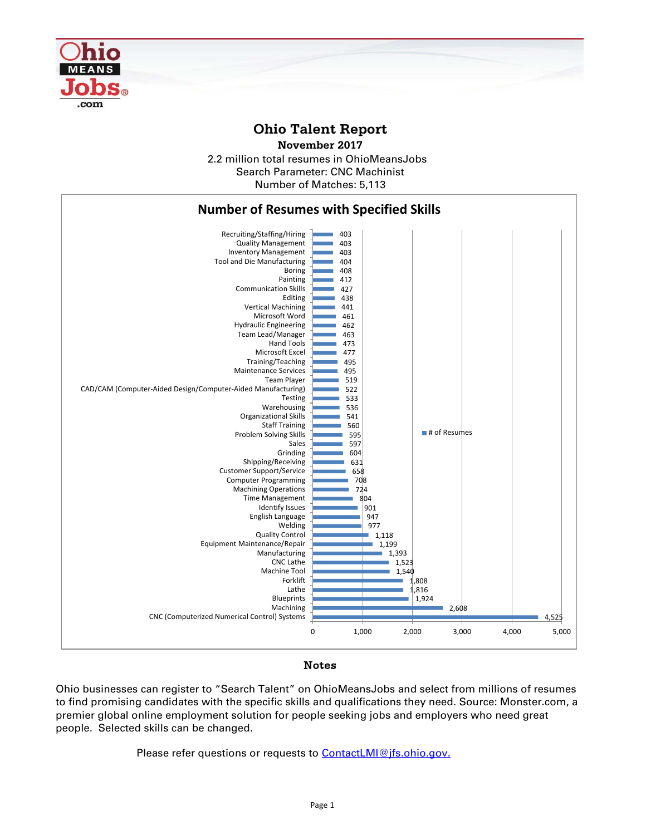

## **Ohio Talent Report**

2.2 million total resumes in OhioMeansJobs Number of Matches: 5,113 **November 2017** Search Parameter: CNC Machinist



## Notes

Ohio businesses can register to "Search Talent" on OhioMeansJobs and select from millions of resumes to find promising candidates with the specific skills and qualifications they need. Source: Monster.com, a premier global online employment solution for people seeking jobs and employers who need great people. Selected skills can be changed.

Please refer questions or requests to [ContactLMI@jfs.ohio.gov.](mailto:ContactLMI@jfs.ohio.gov.)